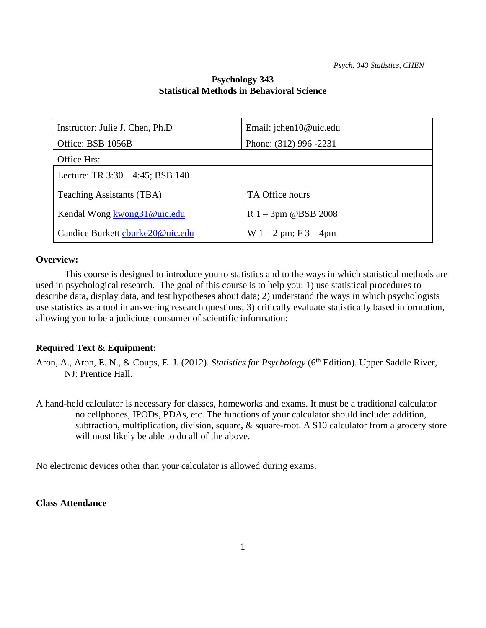### **Psychology 343 Statistical Methods in Behavioral Science**

| Instructor: Julie J. Chen, Ph.D     | Email: jchen10@uic.edu     |  |  |
|-------------------------------------|----------------------------|--|--|
| Office: BSB 1056B                   | Phone: (312) 996 -2231     |  |  |
| Office Hrs:                         |                            |  |  |
| Lecture: TR $3:30 - 4:45$ ; BSB 140 |                            |  |  |
| Teaching Assistants (TBA)           | TA Office hours            |  |  |
| Kendal Wong kwong31@uic.edu         | $R_1 - 3pm \ @BSB_2008$    |  |  |
| Candice Burkett cburke20@uic.edu    | W $1 - 2$ pm; F $3 - 4$ pm |  |  |

### **Overview:**

This course is designed to introduce you to statistics and to the ways in which statistical methods are used in psychological research. The goal of this course is to help you: 1) use statistical procedures to describe data, display data, and test hypotheses about data; 2) understand the ways in which psychologists use statistics as a tool in answering research questions; 3) critically evaluate statistically based information, allowing you to be a judicious consumer of scientific information;

### **Required Text & Equipment:**

- Aron, A., Aron, E. N., & Coups, E. J. (2012). *Statistics for Psychology* (6<sup>th</sup> Edition). Upper Saddle River, NJ: Prentice Hall.
- A hand-held calculator is necessary for classes, homeworks and exams. It must be a traditional calculator no cellphones, IPODs, PDAs, etc. The functions of your calculator should include: addition, subtraction, multiplication, division, square, & square-root. A \$10 calculator from a grocery store will most likely be able to do all of the above.

No electronic devices other than your calculator is allowed during exams.

### **Class Attendance**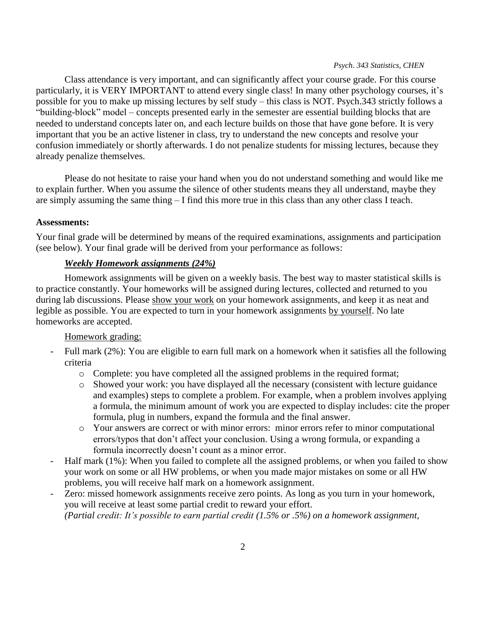Class attendance is very important, and can significantly affect your course grade. For this course particularly, it is VERY IMPORTANT to attend every single class! In many other psychology courses, it's possible for you to make up missing lectures by self study – this class is NOT. Psych.343 strictly follows a "building-block" model – concepts presented early in the semester are essential building blocks that are needed to understand concepts later on, and each lecture builds on those that have gone before. It is very important that you be an active listener in class, try to understand the new concepts and resolve your confusion immediately or shortly afterwards. I do not penalize students for missing lectures, because they already penalize themselves.

Please do not hesitate to raise your hand when you do not understand something and would like me to explain further. When you assume the silence of other students means they all understand, maybe they are simply assuming the same thing – I find this more true in this class than any other class I teach.

#### **Assessments:**

Your final grade will be determined by means of the required examinations, assignments and participation (see below). Your final grade will be derived from your performance as follows:

#### *Weekly Homework assignments (24%)*

Homework assignments will be given on a weekly basis. The best way to master statistical skills is to practice constantly. Your homeworks will be assigned during lectures, collected and returned to you during lab discussions. Please show your work on your homework assignments, and keep it as neat and legible as possible. You are expected to turn in your homework assignments by yourself. No late homeworks are accepted.

### Homework grading:

- Full mark (2%): You are eligible to earn full mark on a homework when it satisfies all the following criteria
	- o Complete: you have completed all the assigned problems in the required format;
	- o Showed your work: you have displayed all the necessary (consistent with lecture guidance and examples) steps to complete a problem. For example, when a problem involves applying a formula, the minimum amount of work you are expected to display includes: cite the proper formula, plug in numbers, expand the formula and the final answer.
	- o Your answers are correct or with minor errors: minor errors refer to minor computational errors/typos that don't affect your conclusion. Using a wrong formula, or expanding a formula incorrectly doesn't count as a minor error.
- Half mark (1%): When you failed to complete all the assigned problems, or when you failed to show your work on some or all HW problems, or when you made major mistakes on some or all HW problems, you will receive half mark on a homework assignment.
- Zero: missed homework assignments receive zero points. As long as you turn in your homework, you will receive at least some partial credit to reward your effort. *(Partial credit: It's possible to earn partial credit (1.5% or .5%) on a homework assignment,*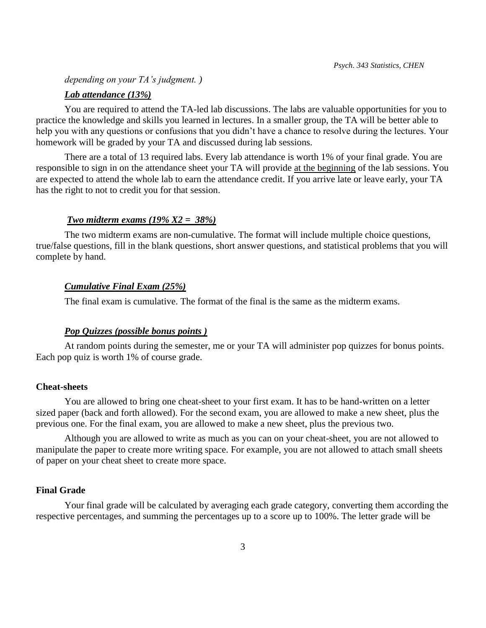*depending on your TA's judgment. )*

#### *Lab attendance (13%)*

You are required to attend the TA-led lab discussions. The labs are valuable opportunities for you to practice the knowledge and skills you learned in lectures. In a smaller group, the TA will be better able to help you with any questions or confusions that you didn't have a chance to resolve during the lectures. Your homework will be graded by your TA and discussed during lab sessions.

There are a total of 13 required labs. Every lab attendance is worth 1% of your final grade. You are responsible to sign in on the attendance sheet your TA will provide at the beginning of the lab sessions. You are expected to attend the whole lab to earn the attendance credit. If you arrive late or leave early, your TA has the right to not to credit you for that session.

#### *Two midterm exams (19% X2 = 38%)*

The two midterm exams are non-cumulative. The format will include multiple choice questions, true/false questions, fill in the blank questions, short answer questions, and statistical problems that you will complete by hand.

#### *Cumulative Final Exam (25%)*

The final exam is cumulative. The format of the final is the same as the midterm exams.

#### *Pop Quizzes (possible bonus points )*

At random points during the semester, me or your TA will administer pop quizzes for bonus points. Each pop quiz is worth 1% of course grade.

#### **Cheat-sheets**

You are allowed to bring one cheat-sheet to your first exam. It has to be hand-written on a letter sized paper (back and forth allowed). For the second exam, you are allowed to make a new sheet, plus the previous one. For the final exam, you are allowed to make a new sheet, plus the previous two.

Although you are allowed to write as much as you can on your cheat-sheet, you are not allowed to manipulate the paper to create more writing space. For example, you are not allowed to attach small sheets of paper on your cheat sheet to create more space.

### **Final Grade**

Your final grade will be calculated by averaging each grade category, converting them according the respective percentages, and summing the percentages up to a score up to 100%. The letter grade will be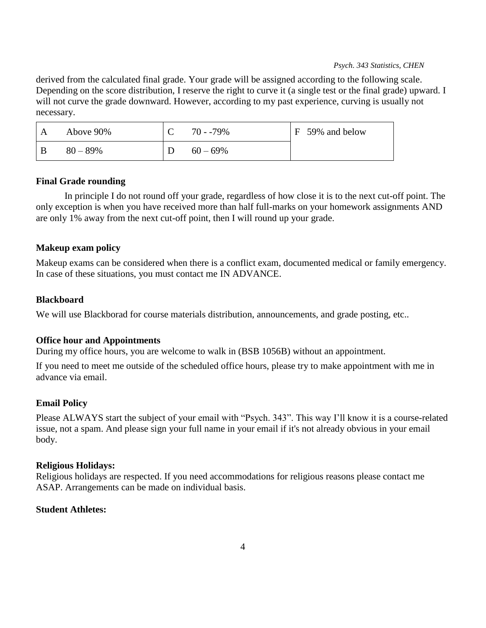derived from the calculated final grade. Your grade will be assigned according to the following scale. Depending on the score distribution, I reserve the right to curve it (a single test or the final grade) upward. I will not curve the grade downward. However, according to my past experience, curving is usually not necessary.

| Above 90%  | $70 - 79\%$ | F 59% and below |
|------------|-------------|-----------------|
| $80 - 89%$ | $60-69\%$   |                 |

### **Final Grade rounding**

In principle I do not round off your grade, regardless of how close it is to the next cut-off point. The only exception is when you have received more than half full-marks on your homework assignments AND are only 1% away from the next cut-off point, then I will round up your grade.

### **Makeup exam policy**

Makeup exams can be considered when there is a conflict exam, documented medical or family emergency. In case of these situations, you must contact me IN ADVANCE.

#### **Blackboard**

We will use Blackborad for course materials distribution, announcements, and grade posting, etc...

#### **Office hour and Appointments**

During my office hours, you are welcome to walk in (BSB 1056B) without an appointment.

If you need to meet me outside of the scheduled office hours, please try to make appointment with me in advance via email.

### **Email Policy**

Please ALWAYS start the subject of your email with "Psych. 343". This way I'll know it is a course-related issue, not a spam. And please sign your full name in your email if it's not already obvious in your email body.

### **Religious Holidays:**

Religious holidays are respected. If you need accommodations for religious reasons please contact me ASAP. Arrangements can be made on individual basis.

### **Student Athletes:**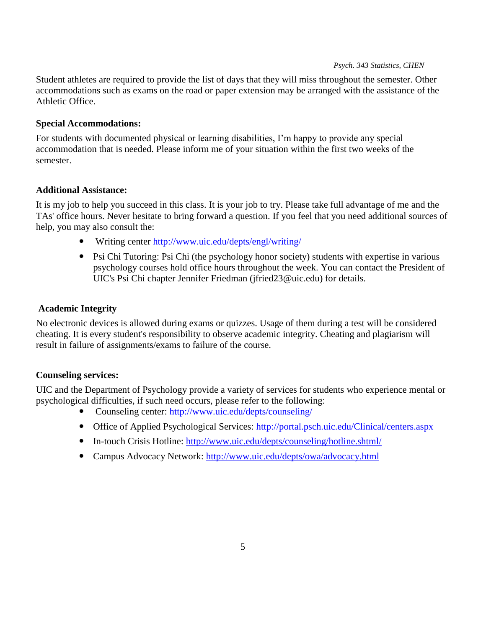Student athletes are required to provide the list of days that they will miss throughout the semester. Other accommodations such as exams on the road or paper extension may be arranged with the assistance of the Athletic Office.

### **Special Accommodations:**

For students with documented physical or learning disabilities, I'm happy to provide any special accommodation that is needed. Please inform me of your situation within the first two weeks of the semester.

## **Additional Assistance:**

It is my job to help you succeed in this class. It is your job to try. Please take full advantage of me and the TAs' office hours. Never hesitate to bring forward a question. If you feel that you need additional sources of help, you may also consult the:

- Writing center<http://www.uic.edu/depts/engl/writing/>
- Psi Chi Tutoring: Psi Chi (the psychology honor society) students with expertise in various psychology courses hold office hours throughout the week. You can contact the President of UIC's Psi Chi chapter Jennifer Friedman (jfried23@uic.edu) for details.

## **Academic Integrity**

No electronic devices is allowed during exams or quizzes. Usage of them during a test will be considered cheating. It is every student's responsibility to observe academic integrity. Cheating and plagiarism will result in failure of assignments/exams to failure of the course.

## **Counseling services:**

UIC and the Department of Psychology provide a variety of services for students who experience mental or psychological difficulties, if such need occurs, please refer to the following:

- Counseling center:<http://www.uic.edu/depts/counseling/>
- Office of Applied Psychological Services:<http://portal.psch.uic.edu/Clinical/centers.aspx>
- In-touch Crisis Hotline:<http://www.uic.edu/depts/counseling/hotline.shtml/>
- Campus Advocacy Network:<http://www.uic.edu/depts/owa/advocacy.html>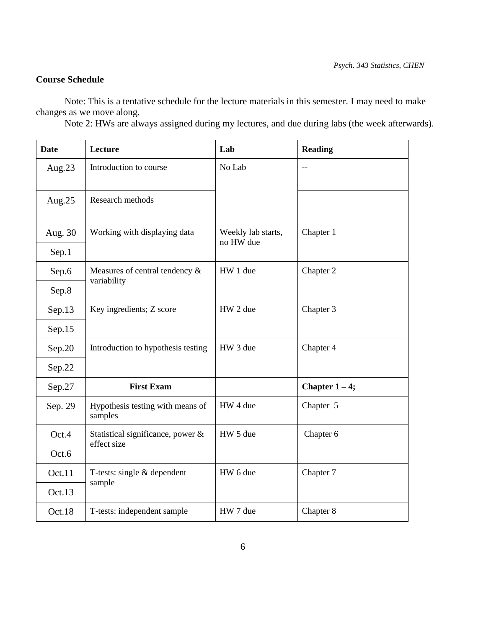# **Course Schedule**

 Note: This is a tentative schedule for the lecture materials in this semester. I may need to make changes as we move along.

Note 2: HWs are always assigned during my lectures, and due during labs (the week afterwards).

| <b>Date</b> | Lecture                                          | Lab                             | <b>Reading</b>  |
|-------------|--------------------------------------------------|---------------------------------|-----------------|
| Aug. $23$   | Introduction to course                           | No Lab                          | $-$             |
| Aug.25      | Research methods                                 |                                 |                 |
| Aug. 30     | Working with displaying data                     | Weekly lab starts,<br>no HW due | Chapter 1       |
| Sep.1       |                                                  |                                 |                 |
| Sep.6       | Measures of central tendency &                   | HW 1 due                        | Chapter 2       |
| Sep.8       | variability                                      |                                 |                 |
| Sep.13      | Key ingredients; Z score                         | HW 2 due                        | Chapter 3       |
| Sep.15      |                                                  |                                 |                 |
| Sep.20      | Introduction to hypothesis testing               | HW 3 due                        | Chapter 4       |
| Sep.22      |                                                  |                                 |                 |
| Sep.27      | <b>First Exam</b>                                |                                 | Chapter $1-4$ ; |
| Sep. 29     | Hypothesis testing with means of<br>samples      | HW 4 due                        | Chapter 5       |
| Oct.4       | Statistical significance, power &<br>effect size | HW 5 due                        | Chapter 6       |
| Oct.6       |                                                  |                                 |                 |
| Oct.11      | T-tests: single & dependent<br>sample            | HW 6 due                        | Chapter 7       |
| Oct.13      |                                                  |                                 |                 |
| Oct.18      | T-tests: independent sample                      | HW 7 due                        | Chapter 8       |